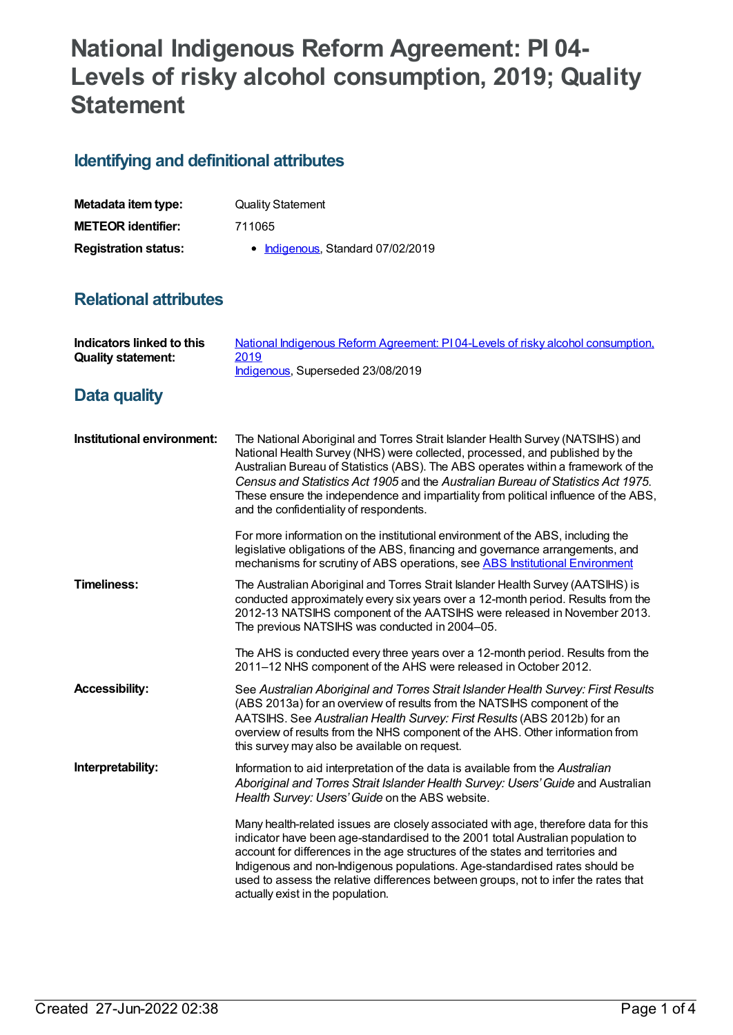# **National Indigenous Reform Agreement: PI 04- Levels of risky alcohol consumption, 2019; Quality Statement**

## **Identifying and definitional attributes**

| Metadata item type:         | <b>Quality Statement</b>          |
|-----------------------------|-----------------------------------|
| <b>METEOR identifier:</b>   | 711065                            |
| <b>Registration status:</b> | • Indigenous, Standard 07/02/2019 |

## **Relational attributes**

| Indicators linked to this<br><b>Quality statement:</b> | National Indigenous Reform Agreement: PI04-Levels of risky alcohol consumption,<br>2019<br>Indigenous, Superseded 23/08/2019                                                                                                                                                                                                                                                                                                                                              |
|--------------------------------------------------------|---------------------------------------------------------------------------------------------------------------------------------------------------------------------------------------------------------------------------------------------------------------------------------------------------------------------------------------------------------------------------------------------------------------------------------------------------------------------------|
| <b>Data quality</b>                                    |                                                                                                                                                                                                                                                                                                                                                                                                                                                                           |
| Institutional environment:                             | The National Aboriginal and Torres Strait Islander Health Survey (NATSIHS) and<br>National Health Survey (NHS) were collected, processed, and published by the<br>Australian Bureau of Statistics (ABS). The ABS operates within a framework of the<br>Census and Statistics Act 1905 and the Australian Bureau of Statistics Act 1975.<br>These ensure the independence and impartiality from political influence of the ABS,<br>and the confidentiality of respondents. |
|                                                        | For more information on the institutional environment of the ABS, including the<br>legislative obligations of the ABS, financing and governance arrangements, and<br>mechanisms for scrutiny of ABS operations, see ABS Institutional Environment                                                                                                                                                                                                                         |
| <b>Timeliness:</b>                                     | The Australian Aboriginal and Torres Strait Islander Health Survey (AATSIHS) is<br>conducted approximately every six years over a 12-month period. Results from the<br>2012-13 NATSIHS component of the AATSIHS were released in November 2013.<br>The previous NATSIHS was conducted in 2004-05.                                                                                                                                                                         |
|                                                        | The AHS is conducted every three years over a 12-month period. Results from the<br>2011-12 NHS component of the AHS were released in October 2012.                                                                                                                                                                                                                                                                                                                        |
| <b>Accessibility:</b>                                  | See Australian Aboriginal and Torres Strait Islander Health Survey: First Results<br>(ABS 2013a) for an overview of results from the NATSIHS component of the<br>AATSIHS. See Australian Health Survey: First Results (ABS 2012b) for an<br>overview of results from the NHS component of the AHS. Other information from<br>this survey may also be available on request.                                                                                                |
| Interpretability:                                      | Information to aid interpretation of the data is available from the Australian<br>Aboriginal and Torres Strait Islander Health Survey: Users' Guide and Australian<br>Health Survey: Users' Guide on the ABS website.                                                                                                                                                                                                                                                     |
|                                                        | Many health-related issues are closely associated with age, therefore data for this<br>indicator have been age-standardised to the 2001 total Australian population to<br>account for differences in the age structures of the states and territories and<br>Indigenous and non-Indigenous populations. Age-standardised rates should be<br>used to assess the relative differences between groups, not to infer the rates that<br>actually exist in the population.      |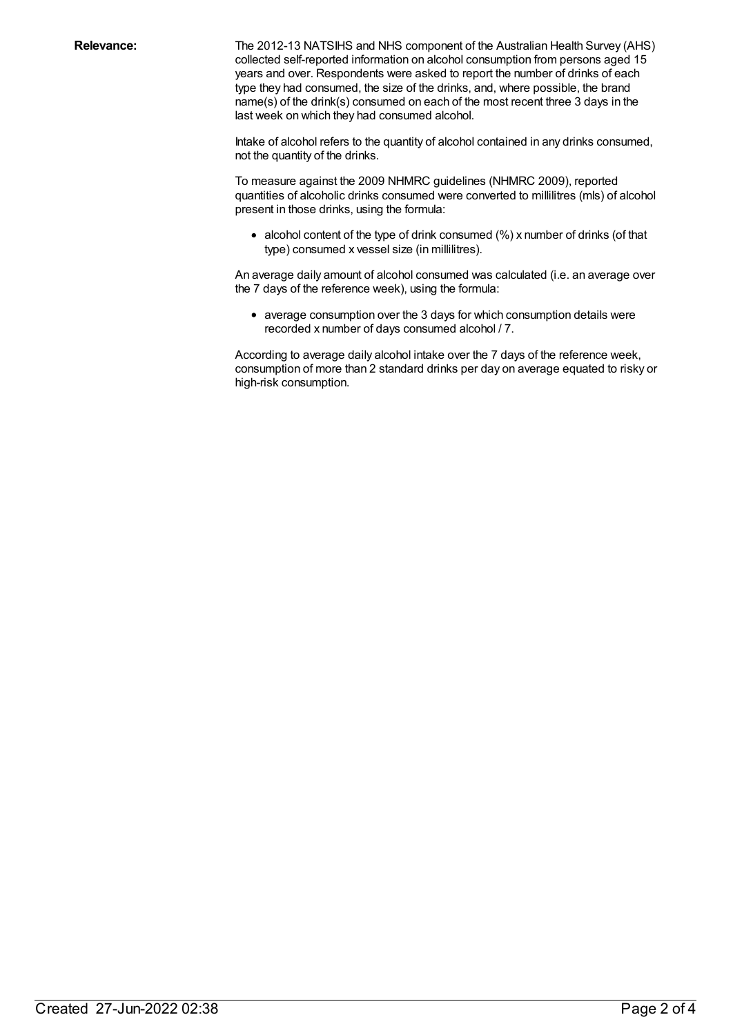**Relevance:** The 2012-13 NATSIHS and NHS component of the Australian Health Survey (AHS) collected self-reported information on alcohol consumption from persons aged 15 years and over. Respondents were asked to report the number of drinks of each type they had consumed, the size of the drinks, and, where possible, the brand name(s) of the drink(s) consumed on each of the most recent three 3 days in the last week on which they had consumed alcohol.

> Intake of alcohol refers to the quantity of alcohol contained in any drinks consumed, not the quantity of the drinks.

To measure against the 2009 NHMRC guidelines (NHMRC 2009), reported quantities of alcoholic drinks consumed were converted to millilitres (mls) of alcohol present in those drinks, using the formula:

alcohol content of the type of drink consumed (%) x number of drinks (of that type) consumed x vessel size (in millilitres).

An average daily amount of alcohol consumed was calculated (i.e. an average over the 7 days of the reference week), using the formula:

average consumption over the 3 days for which consumption details were recorded x number of days consumed alcohol / 7.

According to average daily alcohol intake over the 7 days of the reference week, consumption of more than 2 standard drinks per day on average equated to risky or high-risk consumption.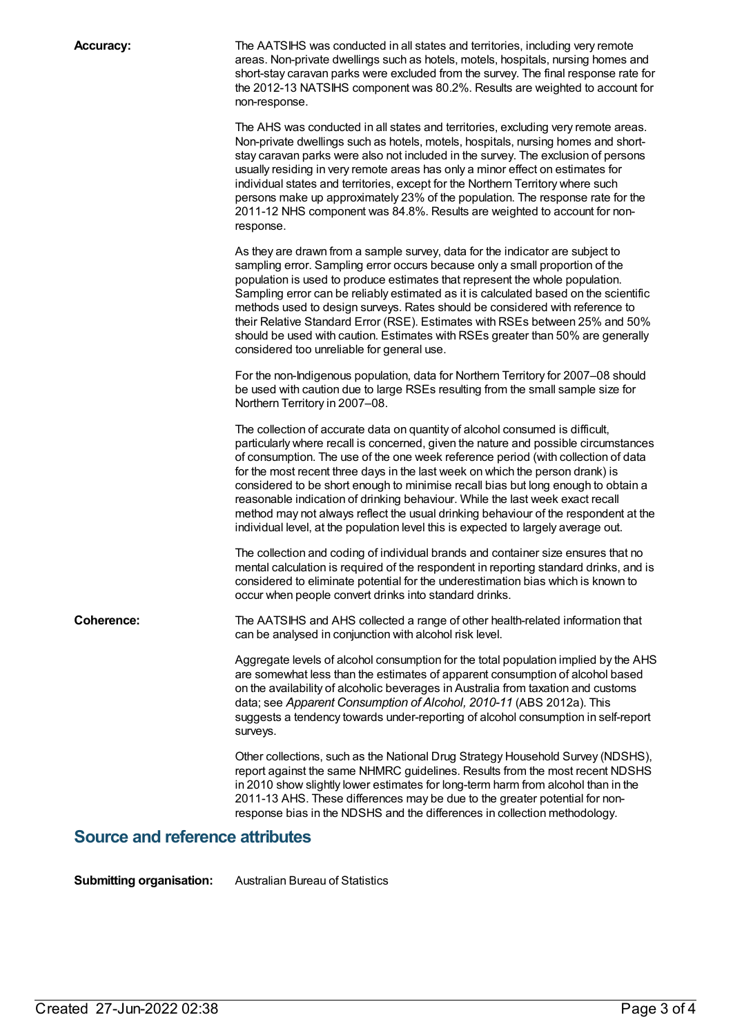**Accuracy:** The AATSIHS was conducted in all states and territories, including very remote areas. Non-private dwellings such as hotels, motels, hospitals, nursing homes and short-stay caravan parks were excluded from the survey. The final response rate for the 2012-13 NATSIHS component was 80.2%. Results are weighted to account for non-response.

> The AHS was conducted in all states and territories, excluding very remote areas. Non-private dwellings such as hotels, motels, hospitals, nursing homes and shortstay caravan parks were also not included in the survey. The exclusion of persons usually residing in very remote areas has only a minor effect on estimates for individual states and territories, except for the Northern Territory where such persons make up approximately 23% of the population. The response rate for the 2011-12 NHS component was 84.8%. Results are weighted to account for nonresponse.

As they are drawn from a sample survey, data for the indicator are subject to sampling error. Sampling error occurs because only a small proportion of the population is used to produce estimates that represent the whole population. Sampling error can be reliably estimated as it is calculated based on the scientific methods used to design surveys. Rates should be considered with reference to their Relative Standard Error (RSE). Estimates with RSEs between 25% and 50% should be used with caution. Estimates with RSEs greater than 50% are generally considered too unreliable for general use.

For the non-Indigenous population, data for Northern Territory for 2007–08 should be used with caution due to large RSEs resulting from the small sample size for Northern Territory in 2007–08.

The collection of accurate data on quantity of alcohol consumed is difficult, particularly where recall is concerned, given the nature and possible circumstances of consumption. The use of the one week reference period (with collection of data for the most recent three days in the last week on which the person drank) is considered to be short enough to minimise recall bias but long enough to obtain a reasonable indication of drinking behaviour. While the last week exact recall method may not always reflect the usual drinking behaviour of the respondent at the individual level, at the population level this is expected to largely average out.

The collection and coding of individual brands and container size ensures that no mental calculation is required of the respondent in reporting standard drinks, and is considered to eliminate potential for the underestimation bias which is known to occur when people convert drinks into standard drinks.

**Coherence:** The AATSIHS and AHS collected a range of other health-related information that can be analysed in conjunction with alcohol risk level.

> Aggregate levels of alcohol consumption for the total population implied by the AHS are somewhat less than the estimates of apparent consumption of alcohol based on the availability of alcoholic beverages in Australia from taxation and customs data; see *Apparent Consumption of Alcohol, 2010-11* (ABS 2012a). This suggests a tendency towards under-reporting of alcohol consumption in self-report surveys.

> Other collections, such as the National Drug Strategy Household Survey (NDSHS), report against the same NHMRC guidelines. Results from the most recent NDSHS in 2010 show slightly lower estimates for long-term harm from alcohol than in the 2011-13 AHS. These differences may be due to the greater potential for nonresponse bias in the NDSHS and the differences in collection methodology.

#### **Source and reference attributes**

**Submitting organisation:** Australian Bureau of Statistics